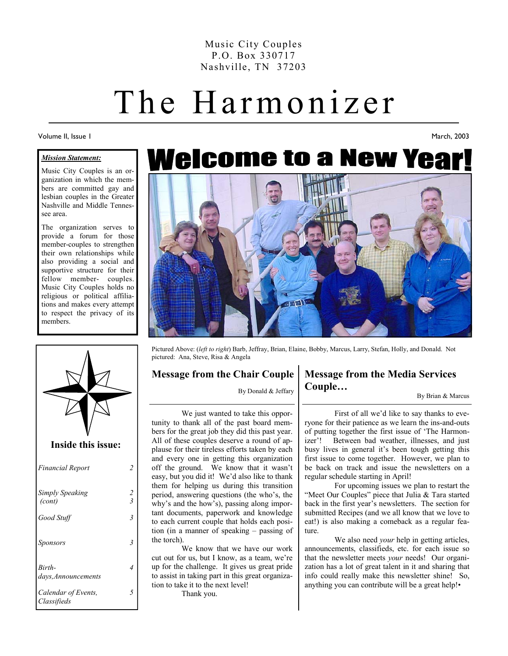Music City Couples P.O. Box 330717 Nashville, TN 37203

# The Harmonizer

Volume II, Issue 1

#### *Mission Statement:*

Music City Couples is an organization in which the members are committed gay and lesbian couples in the Greater Nashville and Middle Tennessee area.

The organization serves to provide a forum for those member-couples to strengthen their own relationships while also providing a social and supportive structure for their fellow member- couples. Music City Couples holds no religious or political affiliations and makes every attempt to respect the privacy of its members.



#### **Inside this issue:**

| <b>Financial Report</b>            |                         |
|------------------------------------|-------------------------|
| Simply Speaking<br>(cont)          | $\overline{\mathbf{3}}$ |
| Good Stuff                         | 3                       |
| Sponsors                           | 3                       |
| Birth-<br>days, Announcements      |                         |
| Calendar of Events,<br>Classifieds |                         |





Pictured Above: (*left to right*) Barb, Jeffray, Brian, Elaine, Bobby, Marcus, Larry, Stefan, Holly, and Donald. Not pictured: Ana, Steve, Risa & Angela

#### **Message from the Chair Couple**

By Donald & Jeffary

 We just wanted to take this opportunity to thank all of the past board members for the great job they did this past year. All of these couples deserve a round of applause for their tireless efforts taken by each and every one in getting this organization off the ground. We know that it wasn't easy, but you did it! We'd also like to thank them for helping us during this transition period, answering questions (the who's, the why's and the how's), passing along important documents, paperwork and knowledge to each current couple that holds each position (in a manner of speaking – passing of the torch).

 We know that we have our work cut out for us, but I know, as a team, we're up for the challenge. It gives us great pride to assist in taking part in this great organization to take it to the next level!

Thank you.

#### **Message from the Media Services Couple…**

By Brian & Marcus

March, 2003

 First of all we'd like to say thanks to everyone for their patience as we learn the ins-and-outs of putting together the first issue of 'The Harmonizer'! Between bad weather, illnesses, and just busy lives in general it's been tough getting this first issue to come together. However, we plan to be back on track and issue the newsletters on a regular schedule starting in April!

 For upcoming issues we plan to restart the "Meet Our Couples" piece that Julia & Tara started back in the first year's newsletters. The section for submitted Recipes (and we all know that we love to eat!) is also making a comeback as a regular feature.

 We also need *your* help in getting articles, announcements, classifieds, etc. for each issue so that the newsletter meets *your* needs! Our organization has a lot of great talent in it and sharing that info could really make this newsletter shine! So, anything you can contribute will be a great help!•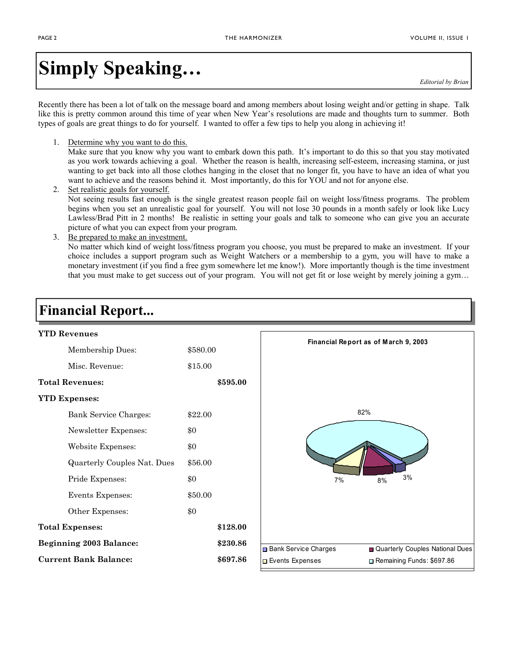# **Simply Speaking…**

*Editorial by Brian* 

Recently there has been a lot of talk on the message board and among members about losing weight and/or getting in shape. Talk like this is pretty common around this time of year when New Year's resolutions are made and thoughts turn to summer. Both types of goals are great things to do for yourself. I wanted to offer a few tips to help you along in achieving it!

1. Determine why you want to do this.

Make sure that you know why you want to embark down this path. It's important to do this so that you stay motivated as you work towards achieving a goal. Whether the reason is health, increasing self-esteem, increasing stamina, or just wanting to get back into all those clothes hanging in the closet that no longer fit, you have to have an idea of what you want to achieve and the reasons behind it. Most importantly, do this for YOU and not for anyone else.

- 2. Set realistic goals for yourself. Not seeing results fast enough is the single greatest reason people fail on weight loss/fitness programs. The problem begins when you set an unrealistic goal for yourself. You will not lose 30 pounds in a month safely or look like Lucy Lawless/Brad Pitt in 2 months! Be realistic in setting your goals and talk to someone who can give you an accurate picture of what you can expect from your program.
- 3. Be prepared to make an investment. No matter which kind of weight loss/fitness program you choose, you must be prepared to make an investment. If your choice includes a support program such as Weight Watchers or a membership to a gym, you will have to make a monetary investment (if you find a free gym somewhere let me know!). More importantly though is the time investment that you must make to get success out of your program. You will not get fit or lose weight by merely joining a gym…

### **Financial Report...**

| <b>YTD Revenues</b>            |          |          |                             |                                      |
|--------------------------------|----------|----------|-----------------------------|--------------------------------------|
| Membership Dues:               | \$580.00 |          |                             | Financial Report as of March 9, 2003 |
| Misc. Revenue:                 | \$15.00  |          |                             |                                      |
| <b>Total Revenues:</b>         |          | \$595.00 |                             |                                      |
| <b>YTD Expenses:</b>           |          |          |                             |                                      |
| Bank Service Charges:          | \$22.00  |          | 82%                         |                                      |
| Newsletter Expenses:           | \$0      |          |                             |                                      |
| Website Expenses:              | \$0      |          |                             |                                      |
| Quarterly Couples Nat. Dues    | \$56.00  |          |                             |                                      |
| Pride Expenses:                | \$0      |          | 7%                          | 3%<br>8%                             |
| Events Expenses:               | \$50.00  |          |                             |                                      |
| Other Expenses:                | \$0      |          |                             |                                      |
| <b>Total Expenses:</b>         |          | \$128.00 |                             |                                      |
| <b>Beginning 2003 Balance:</b> |          | \$230.86 | <b>Bank Service Charges</b> | Quarterly Couples National Dues      |
| <b>Current Bank Balance:</b>   |          | \$697.86 | Events Expenses             | Remaining Funds: \$697.86            |
|                                |          |          |                             |                                      |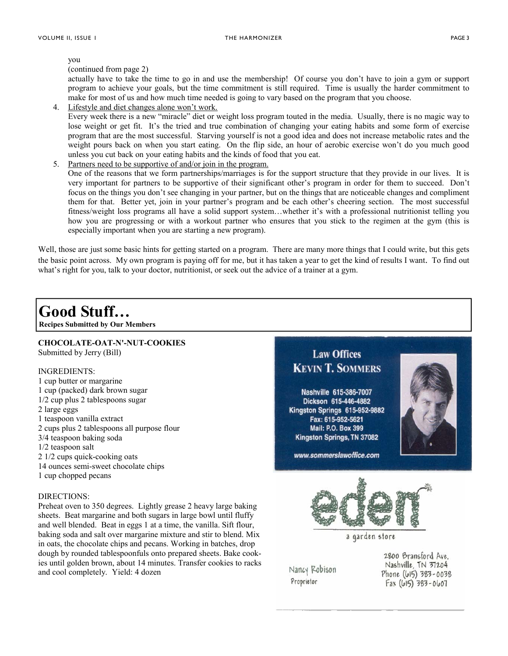you

(continued from page 2)

actually have to take the time to go in and use the membership! Of course you don't have to join a gym or support program to achieve your goals, but the time commitment is still required. Time is usually the harder commitment to make for most of us and how much time needed is going to vary based on the program that you choose.

4. Lifestyle and diet changes alone won't work.

Every week there is a new "miracle" diet or weight loss program touted in the media. Usually, there is no magic way to lose weight or get fit. It's the tried and true combination of changing your eating habits and some form of exercise program that are the most successful. Starving yourself is not a good idea and does not increase metabolic rates and the weight pours back on when you start eating. On the flip side, an hour of aerobic exercise won't do you much good unless you cut back on your eating habits and the kinds of food that you eat.

5. Partners need to be supportive of and/or join in the program.

One of the reasons that we form partnerships/marriages is for the support structure that they provide in our lives. It is very important for partners to be supportive of their significant other's program in order for them to succeed. Don't focus on the things you don't see changing in your partner, but on the things that are noticeable changes and compliment them for that. Better yet, join in your partner's program and be each other's cheering section. The most successful fitness/weight loss programs all have a solid support system…whether it's with a professional nutritionist telling you how you are progressing or with a workout partner who ensures that you stick to the regimen at the gym (this is especially important when you are starting a new program).

Well, those are just some basic hints for getting started on a program. There are many more things that I could write, but this gets the basic point across. My own program is paying off for me, but it has taken a year to get the kind of results I want. To find out what's right for you, talk to your doctor, nutritionist, or seek out the advice of a trainer at a gym.

### **Good Stuff…**

**Recipes Submitted by Our Members** 

#### **CHOCOLATE-OAT-N'-NUT-COOKIES**  Submitted by Jerry (Bill)

#### INGREDIENTS:

1 cup butter or margarine 1 cup (packed) dark brown sugar 1/2 cup plus 2 tablespoons sugar 2 large eggs 1 teaspoon vanilla extract 2 cups plus 2 tablespoons all purpose flour 3/4 teaspoon baking soda 1/2 teaspoon salt 2 1/2 cups quick-cooking oats 14 ounces semi-sweet chocolate chips 1 cup chopped pecans

#### DIRECTIONS:

Preheat oven to 350 degrees. Lightly grease 2 heavy large baking sheets. Beat margarine and both sugars in large bowl until fluffy and well blended. Beat in eggs 1 at a time, the vanilla. Sift flour, baking soda and salt over margarine mixture and stir to blend. Mix in oats, the chocolate chips and pecans. Working in batches, drop dough by rounded tablespoonfuls onto prepared sheets. Bake cookies until golden brown, about 14 minutes. Transfer cookies to racks and cool completely. Yield: 4 dozen



Nancy Robison Proprietor

Nashville, TN 37204 Phone (615) 383-0038  $Fax (615) 383 - 0607$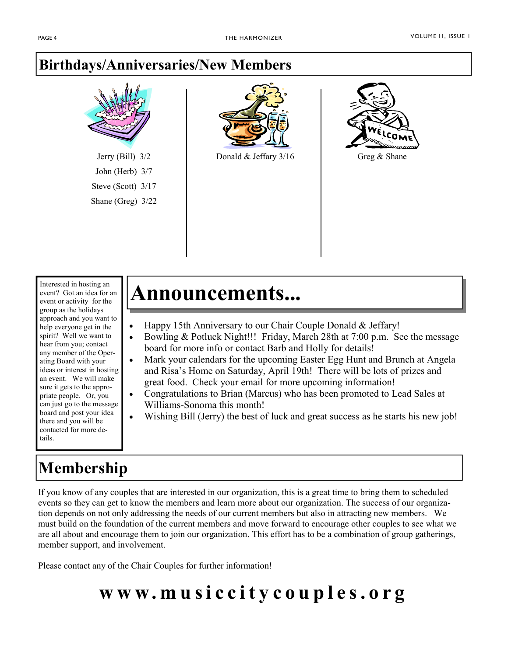### **Birthdays/Anniversaries/New Members**



Jerry (Bill) 3/2 John (Herb) 3/7 Steve (Scott) 3/17 Shane (Greg) 3/22



Donald & Jeffary  $3/16$  Greg & Shane



Interested in hosting an event? Got an idea for an event or activity for the group as the holidays approach and you want to help everyone get in the spirit? Well we want to hear from you; contact any member of the Operating Board with your ideas or interest in hosting an event. We will make sure it gets to the appropriate people. Or, you can just go to the message board and post your idea there and you will be contacted for more details.

## **Membership**

# **Announcements...**

- Happy 15th Anniversary to our Chair Couple Donald & Jeffary!
- Bowling & Potluck Night!!! Friday, March 28th at 7:00 p.m. See the message board for more info or contact Barb and Holly for details!
- Mark your calendars for the upcoming Easter Egg Hunt and Brunch at Angela and Risa's Home on Saturday, April 19th! There will be lots of prizes and great food. Check your email for more upcoming information!
- Congratulations to Brian (Marcus) who has been promoted to Lead Sales at Williams-Sonoma this month!
- Wishing Bill (Jerry) the best of luck and great success as he starts his new job!

If you know of any couples that are interested in our organization, this is a great time to bring them to scheduled events so they can get to know the members and learn more about our organization. The success of our organization depends on not only addressing the needs of our current members but also in attracting new members. We must build on the foundation of the current members and move forward to encourage other couples to see what we are all about and encourage them to join our organization. This effort has to be a combination of group gatherings, member support, and involvement.

Please contact any of the Chair Couples for further information!

# **www.musiccitycouples.org**